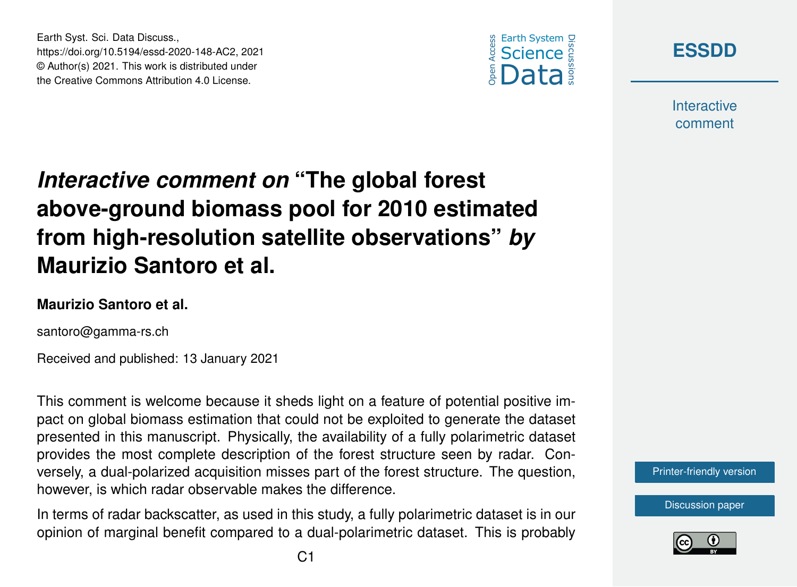



**Interactive** comment

# *Interactive comment on* **"The global forest above-ground biomass pool for 2010 estimated from high-resolution satellite observations"** *by* **Maurizio Santoro et al.**

#### **Maurizio Santoro et al.**

Earth Syst. Sci. Data Discuss.,

https://doi.org/10.5194/essd-2020-148-AC2, 2021 © Author(s) 2021. This work is distributed under the Creative Commons Attribution 4.0 License.

santoro@gamma-rs.ch

Received and published: 13 January 2021

This comment is welcome because it sheds light on a feature of potential positive impact on global biomass estimation that could not be exploited to generate the dataset presented in this manuscript. Physically, the availability of a fully polarimetric dataset provides the most complete description of the forest structure seen by radar. Conversely, a dual-polarized acquisition misses part of the forest structure. The question, however, is which radar observable makes the difference.

In terms of radar backscatter, as used in this study, a fully polarimetric dataset is in our opinion of marginal benefit compared to a dual-polarimetric dataset. This is probably



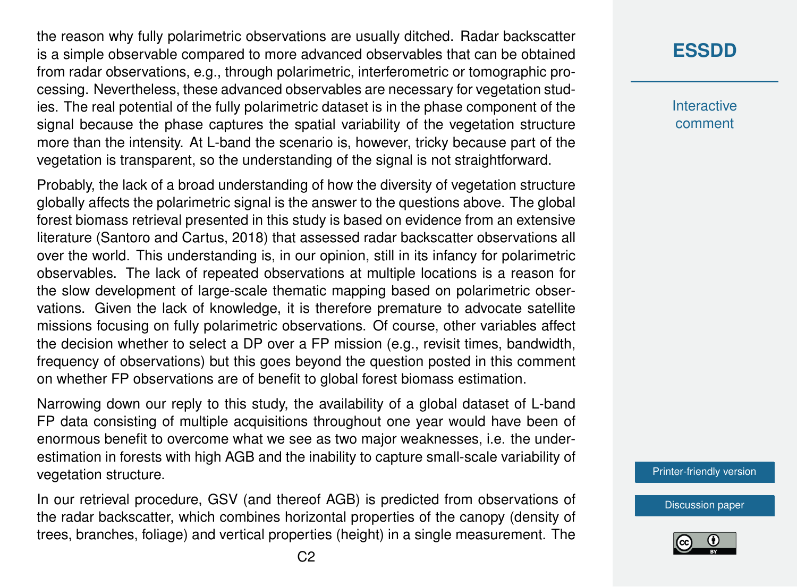the reason why fully polarimetric observations are usually ditched. Radar backscatter is a simple observable compared to more advanced observables that can be obtained from radar observations, e.g., through polarimetric, interferometric or tomographic processing. Nevertheless, these advanced observables are necessary for vegetation studies. The real potential of the fully polarimetric dataset is in the phase component of the signal because the phase captures the spatial variability of the vegetation structure more than the intensity. At L-band the scenario is, however, tricky because part of the vegetation is transparent, so the understanding of the signal is not straightforward.

Probably, the lack of a broad understanding of how the diversity of vegetation structure globally affects the polarimetric signal is the answer to the questions above. The global forest biomass retrieval presented in this study is based on evidence from an extensive literature (Santoro and Cartus, 2018) that assessed radar backscatter observations all over the world. This understanding is, in our opinion, still in its infancy for polarimetric observables. The lack of repeated observations at multiple locations is a reason for the slow development of large-scale thematic mapping based on polarimetric observations. Given the lack of knowledge, it is therefore premature to advocate satellite missions focusing on fully polarimetric observations. Of course, other variables affect the decision whether to select a DP over a FP mission (e.g., revisit times, bandwidth, frequency of observations) but this goes beyond the question posted in this comment on whether FP observations are of benefit to global forest biomass estimation.

Narrowing down our reply to this study, the availability of a global dataset of L-band FP data consisting of multiple acquisitions throughout one year would have been of enormous benefit to overcome what we see as two major weaknesses, i.e. the underestimation in forests with high AGB and the inability to capture small-scale variability of vegetation structure.

In our retrieval procedure, GSV (and thereof AGB) is predicted from observations of the radar backscatter, which combines horizontal properties of the canopy (density of trees, branches, foliage) and vertical properties (height) in a single measurement. The

## **[ESSDD](https://essd.copernicus.org/preprints/)**

**Interactive** comment

[Printer-friendly version](https://essd.copernicus.org/preprints/essd-2020-148/essd-2020-148-AC2-print.pdf)

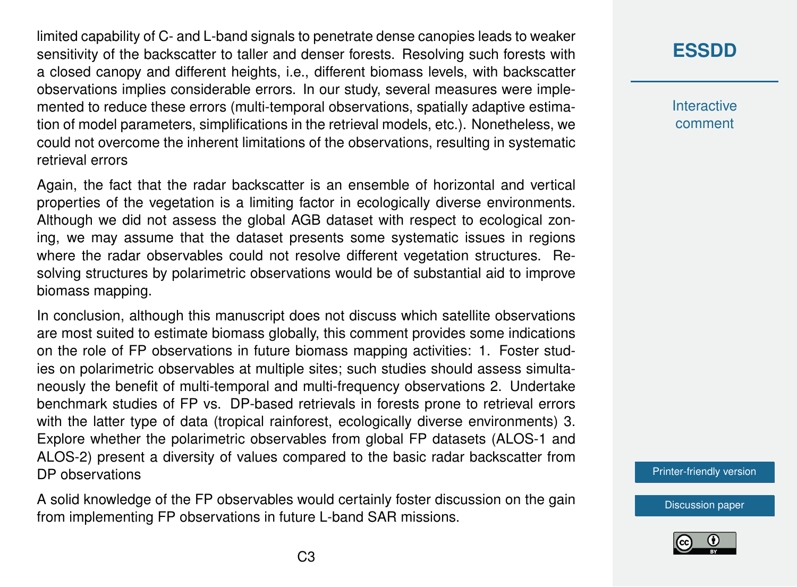limited capability of C- and L-band signals to penetrate dense canopies leads to weaker sensitivity of the backscatter to taller and denser forests. Resolving such forests with a closed canopy and different heights, i.e., different biomass levels, with backscatter observations implies considerable errors. In our study, several measures were implemented to reduce these errors (multi-temporal observations, spatially adaptive estimation of model parameters, simplifications in the retrieval models, etc.). Nonetheless, we could not overcome the inherent limitations of the observations, resulting in systematic retrieval errors

Again, the fact that the radar backscatter is an ensemble of horizontal and vertical properties of the vegetation is a limiting factor in ecologically diverse environments. Although we did not assess the global AGB dataset with respect to ecological zoning, we may assume that the dataset presents some systematic issues in regions where the radar observables could not resolve different vegetation structures. Resolving structures by polarimetric observations would be of substantial aid to improve biomass mapping.

In conclusion, although this manuscript does not discuss which satellite observations are most suited to estimate biomass globally, this comment provides some indications on the role of FP observations in future biomass mapping activities: 1. Foster studies on polarimetric observables at multiple sites; such studies should assess simultaneously the benefit of multi-temporal and multi-frequency observations 2. Undertake benchmark studies of FP vs. DP-based retrievals in forests prone to retrieval errors with the latter type of data (tropical rainforest, ecologically diverse environments) 3. Explore whether the polarimetric observables from global FP datasets (ALOS-1 and ALOS-2) present a diversity of values compared to the basic radar backscatter from DP observations

A solid knowledge of the FP observables would certainly foster discussion on the gain from implementing FP observations in future L-band SAR missions.

### **[ESSDD](https://essd.copernicus.org/preprints/)**

**Interactive** comment

[Printer-friendly version](https://essd.copernicus.org/preprints/essd-2020-148/essd-2020-148-AC2-print.pdf)